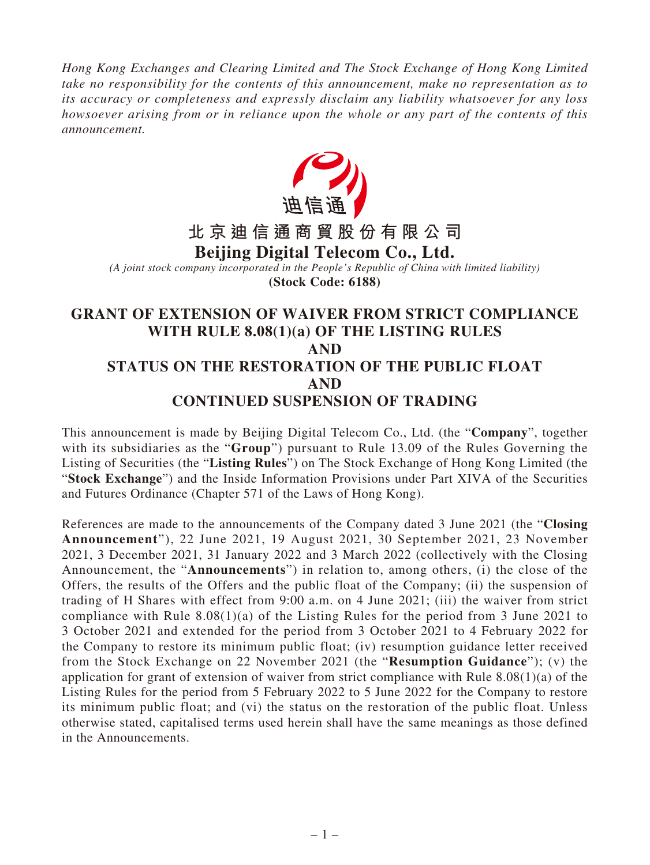*Hong Kong Exchanges and Clearing Limited and The Stock Exchange of Hong Kong Limited take no responsibility for the contents of this announcement, make no representation as to its accuracy or completeness and expressly disclaim any liability whatsoever for any loss howsoever arising from or in reliance upon the whole or any part of the contents of this announcement.*



# **CONTINUED SUSPENSION OF TRADING**

This announcement is made by Beijing Digital Telecom Co., Ltd. (the "**Company**", together with its subsidiaries as the "**Group**") pursuant to Rule 13.09 of the Rules Governing the Listing of Securities (the "**Listing Rules**") on The Stock Exchange of Hong Kong Limited (the "**Stock Exchange**") and the Inside Information Provisions under Part XIVA of the Securities and Futures Ordinance (Chapter 571 of the Laws of Hong Kong).

References are made to the announcements of the Company dated 3 June 2021 (the "**Closing Announcement**"), 22 June 2021, 19 August 2021, 30 September 2021, 23 November 2021, 3 December 2021, 31 January 2022 and 3 March 2022 (collectively with the Closing Announcement, the "**Announcements**") in relation to, among others, (i) the close of the Offers, the results of the Offers and the public float of the Company; (ii) the suspension of trading of H Shares with effect from 9:00 a.m. on 4 June 2021; (iii) the waiver from strict compliance with Rule  $8.08(1)(a)$  of the Listing Rules for the period from 3 June 2021 to 3 October 2021 and extended for the period from 3 October 2021 to 4 February 2022 for the Company to restore its minimum public float; (iv) resumption guidance letter received from the Stock Exchange on 22 November 2021 (the "**Resumption Guidance**"); (v) the application for grant of extension of waiver from strict compliance with Rule 8.08(1)(a) of the Listing Rules for the period from 5 February 2022 to 5 June 2022 for the Company to restore its minimum public float; and (vi) the status on the restoration of the public float. Unless otherwise stated, capitalised terms used herein shall have the same meanings as those defined in the Announcements.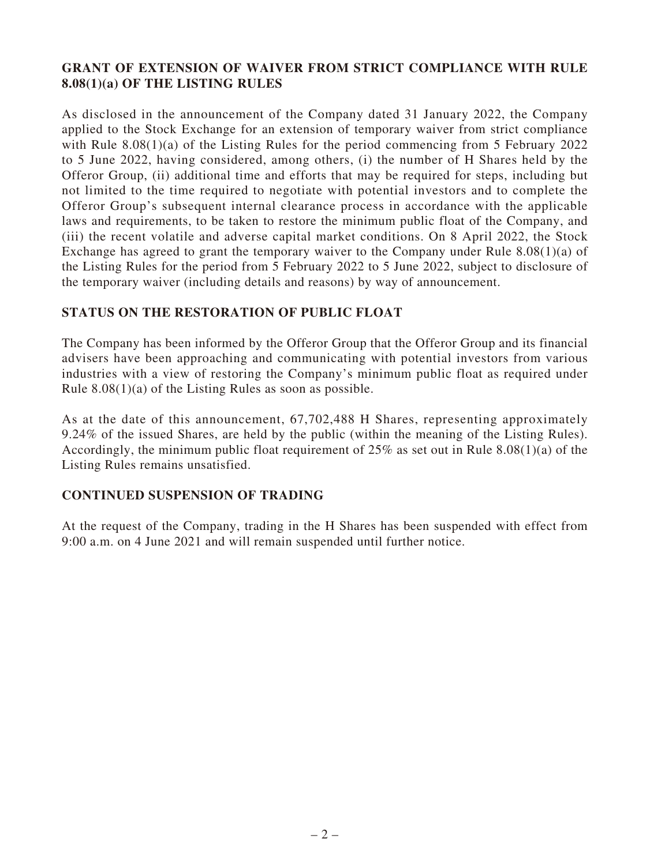## **GRANT OF EXTENSION OF WAIVER FROM STRICT COMPLIANCE WITH RULE 8.08(1)(a) OF THE LISTING RULES**

As disclosed in the announcement of the Company dated 31 January 2022, the Company applied to the Stock Exchange for an extension of temporary waiver from strict compliance with Rule 8.08(1)(a) of the Listing Rules for the period commencing from 5 February 2022 to 5 June 2022, having considered, among others, (i) the number of H Shares held by the Offeror Group, (ii) additional time and efforts that may be required for steps, including but not limited to the time required to negotiate with potential investors and to complete the Offeror Group's subsequent internal clearance process in accordance with the applicable laws and requirements, to be taken to restore the minimum public float of the Company, and (iii) the recent volatile and adverse capital market conditions. On 8 April 2022, the Stock Exchange has agreed to grant the temporary waiver to the Company under Rule 8.08(1)(a) of the Listing Rules for the period from 5 February 2022 to 5 June 2022, subject to disclosure of the temporary waiver (including details and reasons) by way of announcement.

### **STATUS ON THE RESTORATION OF PUBLIC FLOAT**

The Company has been informed by the Offeror Group that the Offeror Group and its financial advisers have been approaching and communicating with potential investors from various industries with a view of restoring the Company's minimum public float as required under Rule 8.08(1)(a) of the Listing Rules as soon as possible.

As at the date of this announcement, 67,702,488 H Shares, representing approximately 9.24% of the issued Shares, are held by the public (within the meaning of the Listing Rules). Accordingly, the minimum public float requirement of 25% as set out in Rule 8.08(1)(a) of the Listing Rules remains unsatisfied.

### **CONTINUED SUSPENSION OF TRADING**

At the request of the Company, trading in the H Shares has been suspended with effect from 9:00 a.m. on 4 June 2021 and will remain suspended until further notice.